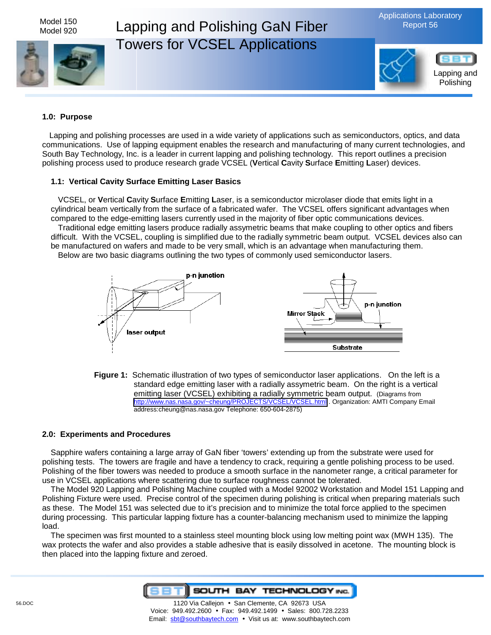

#### **1.0: Purpose**

Lapping and polishing processes are used in a wide variety of applications such as semiconductors, optics, and data communications. Use of lapping equipment enables the research and manufacturing of many current technologies, and South Bay Technology, Inc. is a leader in current lapping and polishing technology. This report outlines a precision polishing process used to produce research grade VCSEL (**V**ertical **C**avity **S**urface **E**mitting **L**aser) devices.

#### **1.1: Vertical Cavity Surface Emitting Laser Basics**

VCSEL, or **V**ertical **C**avity **S**urface **E**mitting **L**aser, is a semiconductor microlaser diode that emits light in a cylindrical beam vertically from the surface of a fabricated wafer. The VCSEL offers significant advantages when compared to the edge-emitting lasers currently used in the majority of fiber optic communications devices. Traditional edge emitting lasers produce radially assymetric beams that make coupling to other optics and fibers difficult. With the VCSEL, coupling is simplified due to the radially symmetric beam output. VCSEL devices also can be manufactured on wafers and made to be very small, which is an advantage when manufacturing them.

Below are two basic diagrams outlining the two types of commonly used semiconductor lasers.



**Figure 1:** Schematic illustration of two types of semiconductor laser applications. On the left is a standard edge emitting laser with a radially assymetric beam. On the right is a vertical emitting laser (VCSEL) exhibiting a radially symmetric beam output. (Diagrams from <http://www.nas.nasa.gov/~cheung/PROJECTS/VCSEL/VCSEL.html>. Organization: AMTI Company Email address:cheung@nas.nasa.gov Telephone: 650-604-2875)

#### **2.0: Experiments and Procedures**

Sapphire wafers containing a large array of GaN fiber 'towers' extending up from the substrate were used for polishing tests. The towers are fragile and have a tendency to crack, requiring a gentle polishing process to be used. Polishing of the fiber towers was needed to produce a smooth surface in the nanometer range, a critical parameter for use in VCSEL applications where scattering due to surface roughness cannot be tolerated.

The Model 920 Lapping and Polishing Machine coupled with a Model 92002 Workstation and Model 151 Lapping and Polishing Fixture were used. Precise control of the specimen during polishing is critical when preparing materials such as these. The Model 151 was selected due to it's precision and to minimize the total force applied to the specimen during processing. This particular lapping fixture has a counter-balancing mechanism used to minimize the lapping load.

The specimen was first mounted to a stainless steel mounting block using low melting point wax (MWH 135). The wax protects the wafer and also provides a stable adhesive that is easily dissolved in acetone. The mounting block is then placed into the lapping fixture and zeroed.

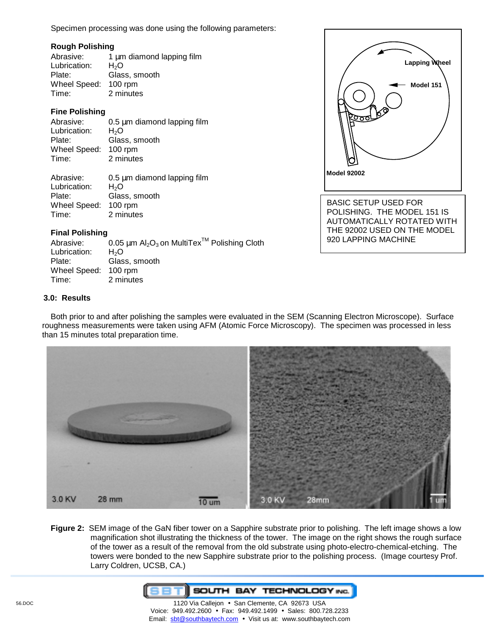Specimen processing was done using the following parameters:

#### **Rough Polishing**

| Abrasive:    | 1 µm diamond lapping film |
|--------------|---------------------------|
| Lubrication: | H <sub>2</sub> O          |
| Plate:       | Glass, smooth             |
| Wheel Speed: | $100$ rpm                 |
| Time:        | 2 minutes                 |
|              |                           |

# **Fine Polishing**

| Abrasive:            | 0.5 µm diamond lapping film |
|----------------------|-----------------------------|
| Lubrication:         | H <sub>2</sub> O            |
| Plate:               | Glass, smooth               |
| Wheel Speed: 100 rpm |                             |
| Time:                | 2 minutes                   |
|                      |                             |

| Abrasive:            | 0.5 µm diamond lapping film |
|----------------------|-----------------------------|
| Lubrication:         | H <sub>2</sub> O            |
| Plate:               | Glass, smooth               |
| Wheel Speed: 100 rpm |                             |
| Time:                | 2 minutes                   |

# **Final Polishing**

| Abrasive:            | 0.05 $\mu$ m Al <sub>2</sub> O <sub>3</sub> on MultiTex <sup>TM</sup> Polishing Cloth |
|----------------------|---------------------------------------------------------------------------------------|
| Lubrication:         | H <sub>2</sub> O                                                                      |
| Plate:               | Glass, smooth                                                                         |
| Wheel Speed: 100 rpm |                                                                                       |
| Time:                | 2 minutes                                                                             |

# **3.0: Results**

Both prior to and after polishing the samples were evaluated in the SEM (Scanning Electron Microscope). Surface roughness measurements were taken using AFM (Atomic Force Microscopy). The specimen was processed in less than 15 minutes total preparation time.

**Model 92002** 

BASIC SETUP USED FOR POLISHING. THE MODEL 151 IS AUTOMATICALLY ROTATED WITH THE 92002 USED ON THE MODEL

920 LAPPING MACHINE

 $\begin{pmatrix} 1 & 1 \end{pmatrix}$ 

**Lapping Wheel** 

**Model 151** 



**Figure 2:** SEM image of the GaN fiber tower on a Sapphire substrate prior to polishing. The left image shows a low magnification shot illustrating the thickness of the tower. The image on the right shows the rough surface of the tower as a result of the removal from the old substrate using photo-electro-chemical-etching. The towers were bonded to the new Sapphire substrate prior to the polishing process. (Image courtesy Prof. Larry Coldren, UCSB, CA.)